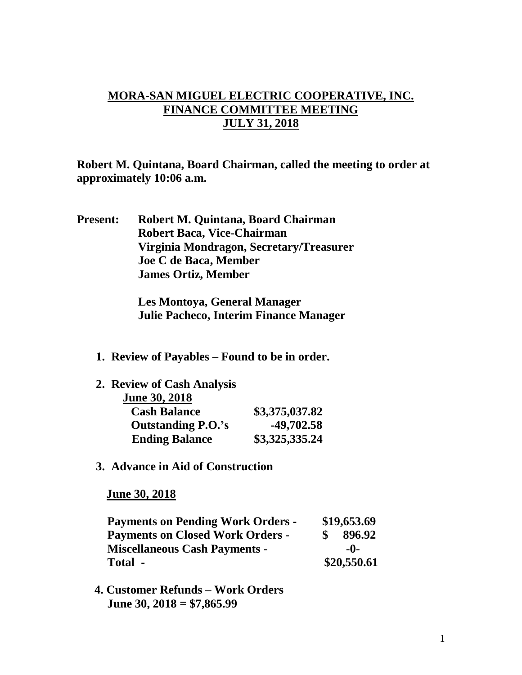## **MORA-SAN MIGUEL ELECTRIC COOPERATIVE, INC. FINANCE COMMITTEE MEETING JULY 31, 2018**

**Robert M. Quintana, Board Chairman, called the meeting to order at approximately 10:06 a.m.**

**Present: Robert M. Quintana, Board Chairman Robert Baca, Vice-Chairman Virginia Mondragon, Secretary/Treasurer Joe C de Baca, Member James Ortiz, Member**

> **Les Montoya, General Manager Julie Pacheco, Interim Finance Manager**

**1. Review of Payables – Found to be in order.**

| 2. Review of Cash Analysis |                |
|----------------------------|----------------|
| <b>June 30, 2018</b>       |                |
| <b>Cash Balance</b>        | \$3,375,037.82 |
| <b>Outstanding P.O.'s</b>  | -49,702.58     |
| <b>Ending Balance</b>      | \$3,325,335.24 |
|                            |                |

**3. Advance in Aid of Construction**

 **June 30, 2018**

| <b>Payments on Pending Work Orders -</b> | \$19,653.69 |  |
|------------------------------------------|-------------|--|
| <b>Payments on Closed Work Orders -</b>  | 896.92      |  |
| <b>Miscellaneous Cash Payments -</b>     | -0-         |  |
| Total -                                  | \$20,550.61 |  |

 **4. Customer Refunds – Work Orders June 30, 2018 = \$7,865.99**